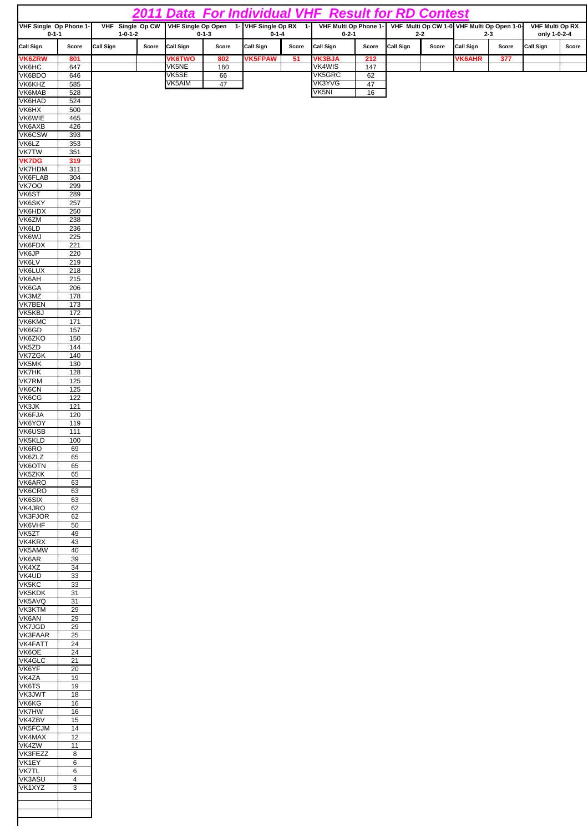|                                                                                      |                                      |                                     |       |                 |                      |                          |       | 2011 Data For Individual VHF Result for RD Contest |          |                                            |                  |                        |       |                           |       |
|--------------------------------------------------------------------------------------|--------------------------------------|-------------------------------------|-------|-----------------|----------------------|--------------------------|-------|----------------------------------------------------|----------|--------------------------------------------|------------------|------------------------|-------|---------------------------|-------|
| VHF Single Op CW VHF Single Op Open 1- VHF Single Op RX 1-<br>VHF Single Op Phone 1- |                                      |                                     |       |                 |                      | VHF Multi Op Phone 1-    |       |                                                    |          | VHF Multi Op CW 1-0 VHF Multi Op Open 1-0- |                  | <b>VHF Multi Op RX</b> |       |                           |       |
| $0 - 1 - 1$<br>Call Sign<br>Score                                                    |                                      | $1 - 0 - 1 - 2$<br><b>Call Sign</b> | Score | Call Sign       | $0 - 1 - 3$<br>Score | $0 - 1 - 4$<br>Call Sign | Score | $0 - 2 - 1$<br>Call Sign                           | Score    | Call Sign                                  | $2 - 2$<br>Score | $2 - 3$<br>Call Sign   | Score | only 1-0-2-4<br>Call Sign | Score |
| <b>VK6ZRW</b>                                                                        | 801                                  |                                     |       | <b>VK6TWO</b>   | 802                  | <b>VK5FPAW</b>           | 51    | <b>VK3BJA</b>                                      | 212      |                                            |                  | <b>VK6AHR</b>          | 377   |                           |       |
| <b>VK<sub>eHC</sub></b>                                                              | 647                                  |                                     |       | VK5NE           | 160                  |                          |       | <b>VK4WIS</b>                                      | 147      |                                            |                  |                        |       |                           |       |
| VK6BDO<br>VK6KHZ                                                                     | 646<br>585                           |                                     |       | VK5SE<br>VK5AIM | 66<br>47             |                          |       | VK5GRC<br>VK3YVG                                   | 62<br>47 |                                            |                  |                        |       |                           |       |
| VK6MAB                                                                               | 528                                  |                                     |       |                 |                      |                          |       | VK5NI                                              | 16       |                                            |                  |                        |       |                           |       |
| VK6HAD<br>VK6HX                                                                      | 524<br>500                           |                                     |       |                 |                      |                          |       |                                                    |          |                                            |                  |                        |       |                           |       |
| <b>VK6WIE</b>                                                                        | 465                                  |                                     |       |                 |                      |                          |       |                                                    |          |                                            |                  |                        |       |                           |       |
| VK6AXB<br>VK6CSW                                                                     | 426<br>393                           |                                     |       |                 |                      |                          |       |                                                    |          |                                            |                  |                        |       |                           |       |
| VK6LZ                                                                                | 353                                  |                                     |       |                 |                      |                          |       |                                                    |          |                                            |                  |                        |       |                           |       |
| <b>VK7TW</b>                                                                         | 351                                  |                                     |       |                 |                      |                          |       |                                                    |          |                                            |                  |                        |       |                           |       |
| <b>VK7DG</b><br><b>VK7HDM</b>                                                        | 319<br>311                           |                                     |       |                 |                      |                          |       |                                                    |          |                                            |                  |                        |       |                           |       |
| VK6FLAB                                                                              | 304                                  |                                     |       |                 |                      |                          |       |                                                    |          |                                            |                  |                        |       |                           |       |
| <b>VK700</b><br>VK6ST                                                                | 299<br>289                           |                                     |       |                 |                      |                          |       |                                                    |          |                                            |                  |                        |       |                           |       |
| VK6SKY                                                                               | 257                                  |                                     |       |                 |                      |                          |       |                                                    |          |                                            |                  |                        |       |                           |       |
| VK6HDX<br>VK6ZM                                                                      | 250<br>238                           |                                     |       |                 |                      |                          |       |                                                    |          |                                            |                  |                        |       |                           |       |
| VK6LD                                                                                | 236                                  |                                     |       |                 |                      |                          |       |                                                    |          |                                            |                  |                        |       |                           |       |
| VK6WJ                                                                                | 225                                  |                                     |       |                 |                      |                          |       |                                                    |          |                                            |                  |                        |       |                           |       |
| VK6FDX<br><b>VK6JP</b>                                                               | 221<br>220                           |                                     |       |                 |                      |                          |       |                                                    |          |                                            |                  |                        |       |                           |       |
| <b>VK6LV</b>                                                                         | 219                                  |                                     |       |                 |                      |                          |       |                                                    |          |                                            |                  |                        |       |                           |       |
| <b>VK6LUX</b><br>VK6AH                                                               | 218<br>215                           |                                     |       |                 |                      |                          |       |                                                    |          |                                            |                  |                        |       |                           |       |
| VK6GA                                                                                | 206                                  |                                     |       |                 |                      |                          |       |                                                    |          |                                            |                  |                        |       |                           |       |
| VK3MZ<br><b>VK7BEN</b>                                                               | 178<br>173                           |                                     |       |                 |                      |                          |       |                                                    |          |                                            |                  |                        |       |                           |       |
| VK5KBJ                                                                               | $\frac{1}{2}$                        |                                     |       |                 |                      |                          |       |                                                    |          |                                            |                  |                        |       |                           |       |
| VK6KMC<br>VK6GD                                                                      | $\frac{1}{171}$<br>157               |                                     |       |                 |                      |                          |       |                                                    |          |                                            |                  |                        |       |                           |       |
| VK6ZKO                                                                               | 150                                  |                                     |       |                 |                      |                          |       |                                                    |          |                                            |                  |                        |       |                           |       |
| VK5ZD<br><b>VK7ZGK</b>                                                               | $144$<br>140                         |                                     |       |                 |                      |                          |       |                                                    |          |                                            |                  |                        |       |                           |       |
| VK5MK                                                                                | 130                                  |                                     |       |                 |                      |                          |       |                                                    |          |                                            |                  |                        |       |                           |       |
| VK7HK                                                                                | 128                                  |                                     |       |                 |                      |                          |       |                                                    |          |                                            |                  |                        |       |                           |       |
| <b>VK7RM</b><br><b>VK6CN</b>                                                         | $\overline{125}$<br>$\overline{125}$ |                                     |       |                 |                      |                          |       |                                                    |          |                                            |                  |                        |       |                           |       |
| VK6CG                                                                                | 122                                  |                                     |       |                 |                      |                          |       |                                                    |          |                                            |                  |                        |       |                           |       |
| VK3JK<br>VK6FJA                                                                      | $\overline{121}$<br>120              |                                     |       |                 |                      |                          |       |                                                    |          |                                            |                  |                        |       |                           |       |
| VK6YOY                                                                               | 119                                  |                                     |       |                 |                      |                          |       |                                                    |          |                                            |                  |                        |       |                           |       |
| VK6USB<br>VK5KLD                                                                     | 111<br>100                           |                                     |       |                 |                      |                          |       |                                                    |          |                                            |                  |                        |       |                           |       |
| VK6RO                                                                                | 69                                   |                                     |       |                 |                      |                          |       |                                                    |          |                                            |                  |                        |       |                           |       |
| VK6ZLZ<br>VK6OTN                                                                     | 65<br>65                             |                                     |       |                 |                      |                          |       |                                                    |          |                                            |                  |                        |       |                           |       |
| VK5ZKK                                                                               | 65                                   |                                     |       |                 |                      |                          |       |                                                    |          |                                            |                  |                        |       |                           |       |
| VK6ARO<br>VK6CRO                                                                     | 63<br>63                             |                                     |       |                 |                      |                          |       |                                                    |          |                                            |                  |                        |       |                           |       |
| VK6SIX                                                                               | 63                                   |                                     |       |                 |                      |                          |       |                                                    |          |                                            |                  |                        |       |                           |       |
| VK4JRO<br><b>VK3FJOR</b>                                                             | 62<br>62                             |                                     |       |                 |                      |                          |       |                                                    |          |                                            |                  |                        |       |                           |       |
| VK6VHF                                                                               | 50                                   |                                     |       |                 |                      |                          |       |                                                    |          |                                            |                  |                        |       |                           |       |
| VK5ZT<br>VK4KRX                                                                      | 49<br>43                             |                                     |       |                 |                      |                          |       |                                                    |          |                                            |                  |                        |       |                           |       |
| VK5AMW                                                                               | 40                                   |                                     |       |                 |                      |                          |       |                                                    |          |                                            |                  |                        |       |                           |       |
| VK6AR                                                                                | 39                                   |                                     |       |                 |                      |                          |       |                                                    |          |                                            |                  |                        |       |                           |       |
| VK4XZ<br>VK4UD                                                                       | 34<br>33                             |                                     |       |                 |                      |                          |       |                                                    |          |                                            |                  |                        |       |                           |       |
| VK5KC<br>VK5KDK                                                                      | 33<br>31                             |                                     |       |                 |                      |                          |       |                                                    |          |                                            |                  |                        |       |                           |       |
| VK5AVQ                                                                               | 31                                   |                                     |       |                 |                      |                          |       |                                                    |          |                                            |                  |                        |       |                           |       |
| VK3KTM                                                                               | 29                                   |                                     |       |                 |                      |                          |       |                                                    |          |                                            |                  |                        |       |                           |       |
| VK6AN<br>VK7JGD                                                                      | 29<br>29                             |                                     |       |                 |                      |                          |       |                                                    |          |                                            |                  |                        |       |                           |       |
| VK3FAAR<br><b>VK4FATT</b>                                                            | 25                                   |                                     |       |                 |                      |                          |       |                                                    |          |                                            |                  |                        |       |                           |       |
| VK6OE                                                                                | 24<br>24                             |                                     |       |                 |                      |                          |       |                                                    |          |                                            |                  |                        |       |                           |       |
| VK4GLC                                                                               | 21                                   |                                     |       |                 |                      |                          |       |                                                    |          |                                            |                  |                        |       |                           |       |
| VK6YF<br>VK4ZA                                                                       | 20<br>19                             |                                     |       |                 |                      |                          |       |                                                    |          |                                            |                  |                        |       |                           |       |
| VK6TS                                                                                | 19                                   |                                     |       |                 |                      |                          |       |                                                    |          |                                            |                  |                        |       |                           |       |
| VK3JWT<br><b>VK6KG</b>                                                               | 18<br>16                             |                                     |       |                 |                      |                          |       |                                                    |          |                                            |                  |                        |       |                           |       |
| VK7HW                                                                                | 16                                   |                                     |       |                 |                      |                          |       |                                                    |          |                                            |                  |                        |       |                           |       |
| VK4ZBV<br>VK5FCJM                                                                    | 15<br>14                             |                                     |       |                 |                      |                          |       |                                                    |          |                                            |                  |                        |       |                           |       |
| VK4MAX                                                                               | 12                                   |                                     |       |                 |                      |                          |       |                                                    |          |                                            |                  |                        |       |                           |       |
| VK4ZW<br>VK3FEZZ                                                                     | 11<br>8                              |                                     |       |                 |                      |                          |       |                                                    |          |                                            |                  |                        |       |                           |       |
| VK1EY                                                                                | 6                                    |                                     |       |                 |                      |                          |       |                                                    |          |                                            |                  |                        |       |                           |       |
| <b>VK7TL</b>                                                                         | 6                                    |                                     |       |                 |                      |                          |       |                                                    |          |                                            |                  |                        |       |                           |       |
| VK3ASU<br>VK1XYZ                                                                     | 4<br>3                               |                                     |       |                 |                      |                          |       |                                                    |          |                                            |                  |                        |       |                           |       |
|                                                                                      |                                      |                                     |       |                 |                      |                          |       |                                                    |          |                                            |                  |                        |       |                           |       |
|                                                                                      |                                      |                                     |       |                 |                      |                          |       |                                                    |          |                                            |                  |                        |       |                           |       |
|                                                                                      |                                      |                                     |       |                 |                      |                          |       |                                                    |          |                                            |                  |                        |       |                           |       |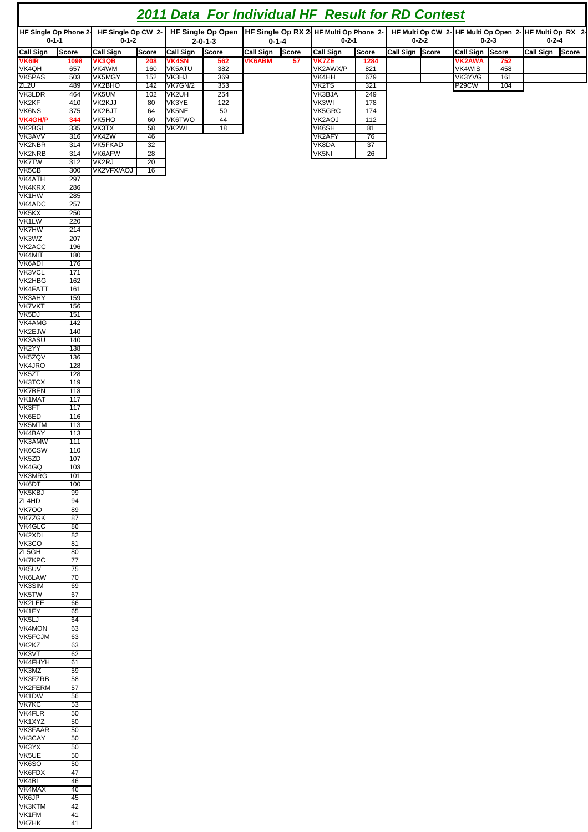| <b>2011 Data For Individual HF Result for RD Contest</b> |              |                                   |                                |                     |                                                                         |                 |                                                                        |                           |  |  |  |  |
|----------------------------------------------------------|--------------|-----------------------------------|--------------------------------|---------------------|-------------------------------------------------------------------------|-----------------|------------------------------------------------------------------------|---------------------------|--|--|--|--|
| HF Single Op Phone 2-<br>$0 - 1 - 1$                     |              | HF Single Op CW 2-<br>$0 - 1 - 2$ | $2 - 0 - 1 - 3$                | $0 - 1 - 4$         | HF Single Op Open HF Single Op RX 2-HF Multi Op Phone 2-<br>$0 - 2 - 1$ | $0 - 2 - 2$     | HF Multi Op CW 2- HF Multi Op Open 2- HF Multi Op RX 2-<br>$0 - 2 - 3$ | $0 - 2 - 4$               |  |  |  |  |
|                                                          | <b>Score</b> | <b>Call Sign</b><br><b>Score</b>  | Score<br><b>Call Sign</b>      | Call Sign<br>Score  | <b>Call Sign</b><br><b>Score</b>                                        | Call Sign Score | Call Sign Score                                                        | <b>Call Sign</b><br>Score |  |  |  |  |
| Call Sign<br>VK6IR<br>VK4QH                              | 1098         | <b>VK3QB</b><br>208               | <b>VK4SN</b><br>562            | <b>VK6ABM</b><br>57 | <b>VK7ZE</b><br>1284                                                    |                 | <b>VK2AWA</b><br>752                                                   |                           |  |  |  |  |
|                                                          | 657          | VK4WM<br>160                      | VK5ATU<br>382                  |                     | 821<br>VK2AWX/P                                                         |                 | <b>VK4WIS</b><br>458                                                   |                           |  |  |  |  |
| VK5PAS<br>ZL <sub>2U</sub>                               | 503<br>489   | <b>VK5MGY</b><br>152<br>142       | 369<br>VK3HJ                   |                     | <b>VK4HH</b><br>679<br>VK2TS                                            |                 | 161<br>VK3YVG                                                          |                           |  |  |  |  |
| <b>VK3LDR</b>                                            | 464          | <b>VK2BHO</b><br>VK5UM<br>102     | VK7GN/2<br>353<br>VK2UH<br>254 |                     | 321<br>VK3BJA<br>249                                                    |                 | P <sub>29</sub> CW<br>104                                              |                           |  |  |  |  |
| VK <sub>2KF</sub>                                        | 410          | VK2KJJ<br>80                      | VK3YE<br>122                   |                     | VK3WI<br>178                                                            |                 |                                                                        |                           |  |  |  |  |
| <b>VK6NS</b>                                             | 375          | VK2BJT<br>64                      | VK5NE<br>50                    |                     | VK5GRC<br>174                                                           |                 |                                                                        |                           |  |  |  |  |
| VKAGH/P<br>VKAGH/P<br>VK3AVV                             | 344          | VK <sub>5</sub> HO<br>60          | <b>VK6TWO</b><br>44            |                     | VK2AOJ<br>112                                                           |                 |                                                                        |                           |  |  |  |  |
|                                                          | 335          | VK3TX<br>58                       | VK2WL<br>18                    |                     | VK6SH<br>81                                                             |                 |                                                                        |                           |  |  |  |  |
|                                                          | 316          | VK4ZW<br>46                       |                                |                     | VK2AFY<br>76                                                            |                 |                                                                        |                           |  |  |  |  |
| <b>VK2NBR</b>                                            | 314          | <b>VK5FKAD</b><br>32              |                                |                     | VK8DA<br>37                                                             |                 |                                                                        |                           |  |  |  |  |
| VK2NRB                                                   | 314<br>312   | VK6AFW<br>28<br>VK2RJ<br>20       |                                |                     | VK5NI<br>26                                                             |                 |                                                                        |                           |  |  |  |  |
| VK5CB                                                    | 300          | VK2VFX/AOJ<br>16                  |                                |                     |                                                                         |                 |                                                                        |                           |  |  |  |  |
| VK4ATH<br>VK4KRX<br>VK4KRX<br>VK4ADC                     | 297          |                                   |                                |                     |                                                                         |                 |                                                                        |                           |  |  |  |  |
|                                                          | 286          |                                   |                                |                     |                                                                         |                 |                                                                        |                           |  |  |  |  |
|                                                          | 285          |                                   |                                |                     |                                                                         |                 |                                                                        |                           |  |  |  |  |
|                                                          | 257          |                                   |                                |                     |                                                                         |                 |                                                                        |                           |  |  |  |  |
| VK5KX<br>VK1LW                                           | 250<br>220   |                                   |                                |                     |                                                                         |                 |                                                                        |                           |  |  |  |  |
| <b>VK7HW</b>                                             | 214          |                                   |                                |                     |                                                                         |                 |                                                                        |                           |  |  |  |  |
|                                                          | 207          |                                   |                                |                     |                                                                         |                 |                                                                        |                           |  |  |  |  |
|                                                          | 196          |                                   |                                |                     |                                                                         |                 |                                                                        |                           |  |  |  |  |
| VK7HW<br>VK3WZ<br>VK2ACC<br>VK4MIT<br>VK6ADI             | 180          |                                   |                                |                     |                                                                         |                 |                                                                        |                           |  |  |  |  |
|                                                          | 176          |                                   |                                |                     |                                                                         |                 |                                                                        |                           |  |  |  |  |
| VK3VCL<br>VK3VCL                                         | 171<br>162   |                                   |                                |                     |                                                                         |                 |                                                                        |                           |  |  |  |  |
| VK4FATT                                                  | 161          |                                   |                                |                     |                                                                         |                 |                                                                        |                           |  |  |  |  |
|                                                          | 159          |                                   |                                |                     |                                                                         |                 |                                                                        |                           |  |  |  |  |
|                                                          | 156          |                                   |                                |                     |                                                                         |                 |                                                                        |                           |  |  |  |  |
| VKHAHA<br>VK3AHY<br>VK7VKT<br>VK4AMG                     | 151          |                                   |                                |                     |                                                                         |                 |                                                                        |                           |  |  |  |  |
|                                                          | 142          |                                   |                                |                     |                                                                         |                 |                                                                        |                           |  |  |  |  |
| VK2EJW<br>VK2EJW<br>VK3ASU<br>VK2YY                      | 140<br>140   |                                   |                                |                     |                                                                         |                 |                                                                        |                           |  |  |  |  |
|                                                          | 138          |                                   |                                |                     |                                                                         |                 |                                                                        |                           |  |  |  |  |
| VKSZQV<br>VKSZQV<br>VK4JRO<br>VKSZT<br>VK3TCX            | 136          |                                   |                                |                     |                                                                         |                 |                                                                        |                           |  |  |  |  |
|                                                          | 128          |                                   |                                |                     |                                                                         |                 |                                                                        |                           |  |  |  |  |
|                                                          | 128          |                                   |                                |                     |                                                                         |                 |                                                                        |                           |  |  |  |  |
|                                                          | 119          |                                   |                                |                     |                                                                         |                 |                                                                        |                           |  |  |  |  |
| VK7BEN<br>VK1MAT                                         | 118<br>117   |                                   |                                |                     |                                                                         |                 |                                                                        |                           |  |  |  |  |
|                                                          | 117          |                                   |                                |                     |                                                                         |                 |                                                                        |                           |  |  |  |  |
| VK3FT<br>VK3FT                                           | 116          |                                   |                                |                     |                                                                         |                 |                                                                        |                           |  |  |  |  |
| VKSMTM<br>VKSMTM<br>VK3AMW<br>VKSCSW<br>VKSZD            | 113          |                                   |                                |                     |                                                                         |                 |                                                                        |                           |  |  |  |  |
|                                                          | 113          |                                   |                                |                     |                                                                         |                 |                                                                        |                           |  |  |  |  |
|                                                          | 111          |                                   |                                |                     |                                                                         |                 |                                                                        |                           |  |  |  |  |
|                                                          | 110<br>107   |                                   |                                |                     |                                                                         |                 |                                                                        |                           |  |  |  |  |
| VK4GQ                                                    | 103          |                                   |                                |                     |                                                                         |                 |                                                                        |                           |  |  |  |  |
| <b>VK3MRG</b>                                            | 101          |                                   |                                |                     |                                                                         |                 |                                                                        |                           |  |  |  |  |
| VK6DT                                                    | 100          |                                   |                                |                     |                                                                         |                 |                                                                        |                           |  |  |  |  |
| VK5KBJ                                                   | 99           |                                   |                                |                     |                                                                         |                 |                                                                        |                           |  |  |  |  |
| ZL4HD<br><b>VK700</b>                                    | 94<br>89     |                                   |                                |                     |                                                                         |                 |                                                                        |                           |  |  |  |  |
| <b>VK7ZGK</b>                                            | 87           |                                   |                                |                     |                                                                         |                 |                                                                        |                           |  |  |  |  |
| VK4GLC                                                   | 86           |                                   |                                |                     |                                                                         |                 |                                                                        |                           |  |  |  |  |
| VK2XDL                                                   | 82           |                                   |                                |                     |                                                                         |                 |                                                                        |                           |  |  |  |  |
| VK3CO                                                    | 81           |                                   |                                |                     |                                                                         |                 |                                                                        |                           |  |  |  |  |
| ZL5GH                                                    | 80           |                                   |                                |                     |                                                                         |                 |                                                                        |                           |  |  |  |  |
| <b>VK7KPC</b><br>VK5UV                                   | 77<br>75     |                                   |                                |                     |                                                                         |                 |                                                                        |                           |  |  |  |  |
| <b>VK6LAW</b>                                            | 70           |                                   |                                |                     |                                                                         |                 |                                                                        |                           |  |  |  |  |
| VK3SIM                                                   | 69           |                                   |                                |                     |                                                                         |                 |                                                                        |                           |  |  |  |  |
| VK5TW                                                    | 67           |                                   |                                |                     |                                                                         |                 |                                                                        |                           |  |  |  |  |
| VK2LEE                                                   | 66           |                                   |                                |                     |                                                                         |                 |                                                                        |                           |  |  |  |  |
| VK1EY<br>VK <sub>5LJ</sub>                               | 65<br>64     |                                   |                                |                     |                                                                         |                 |                                                                        |                           |  |  |  |  |
| <b>VK4MON</b>                                            | 63           |                                   |                                |                     |                                                                         |                 |                                                                        |                           |  |  |  |  |
| VK5FCJM                                                  | 63           |                                   |                                |                     |                                                                         |                 |                                                                        |                           |  |  |  |  |
| VK2KZ                                                    | 63           |                                   |                                |                     |                                                                         |                 |                                                                        |                           |  |  |  |  |
| VK3VT                                                    | 62           |                                   |                                |                     |                                                                         |                 |                                                                        |                           |  |  |  |  |
| <b>VK4FHYH</b><br>VK3MZ                                  | 61<br>59     |                                   |                                |                     |                                                                         |                 |                                                                        |                           |  |  |  |  |
| <b>VK3FZRB</b>                                           | 58           |                                   |                                |                     |                                                                         |                 |                                                                        |                           |  |  |  |  |
| VK2FERM                                                  | 57           |                                   |                                |                     |                                                                         |                 |                                                                        |                           |  |  |  |  |
| VK1DW                                                    | 56           |                                   |                                |                     |                                                                         |                 |                                                                        |                           |  |  |  |  |
| <b>VK7KC</b>                                             | 53           |                                   |                                |                     |                                                                         |                 |                                                                        |                           |  |  |  |  |
| <b>VK4FLR</b>                                            | 50           |                                   |                                |                     |                                                                         |                 |                                                                        |                           |  |  |  |  |
| VK1XYZ<br><b>VK3FAAR</b>                                 | 50<br>50     |                                   |                                |                     |                                                                         |                 |                                                                        |                           |  |  |  |  |
| VK3CAY                                                   | 50           |                                   |                                |                     |                                                                         |                 |                                                                        |                           |  |  |  |  |
| VK3YX                                                    | 50           |                                   |                                |                     |                                                                         |                 |                                                                        |                           |  |  |  |  |
| VK5UE                                                    | 50           |                                   |                                |                     |                                                                         |                 |                                                                        |                           |  |  |  |  |
| VK6SO                                                    | 50           |                                   |                                |                     |                                                                         |                 |                                                                        |                           |  |  |  |  |
| VK6FDX                                                   | 47           |                                   |                                |                     |                                                                         |                 |                                                                        |                           |  |  |  |  |
| VK4BL                                                    | 46           |                                   |                                |                     |                                                                         |                 |                                                                        |                           |  |  |  |  |
| VK4MAX<br>VK6JP                                          | 46<br>45     |                                   |                                |                     |                                                                         |                 |                                                                        |                           |  |  |  |  |
| <b>VK3KTM</b>                                            | 42           |                                   |                                |                     |                                                                         |                 |                                                                        |                           |  |  |  |  |
| VK1FM                                                    | 41           |                                   |                                |                     |                                                                         |                 |                                                                        |                           |  |  |  |  |

VK7HK | 41

 $\mathbf \Gamma$